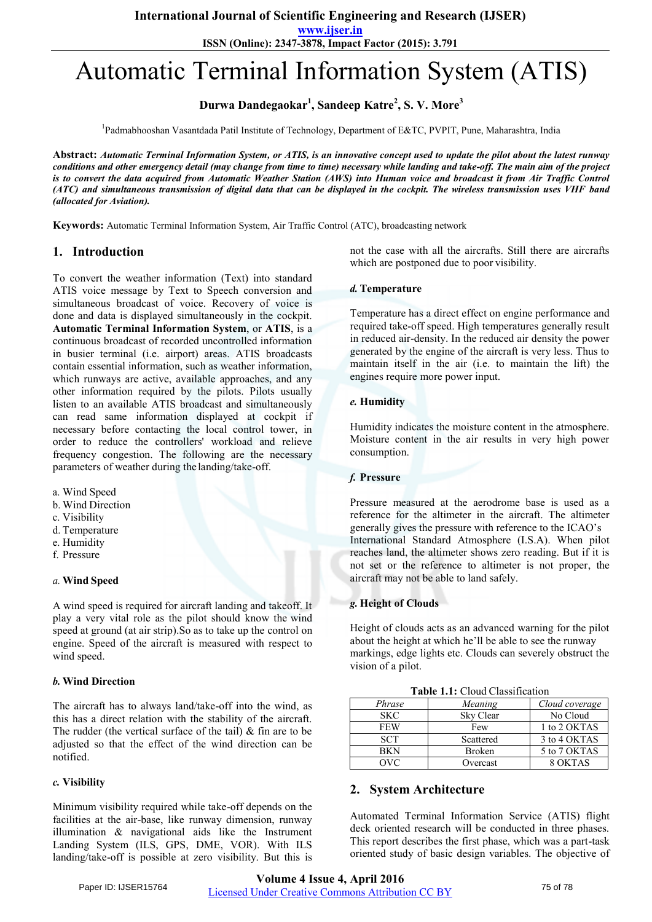**International Journal of Scientific Engineering and Research (IJSER)** 

**www.ijser.in**

**ISSN (Online): 2347-3878, Impact Factor (2015): 3.791**

# Automatic Terminal Information System (ATIS)

**Durwa Dandegaokar<sup>1</sup> , Sandeep Katre<sup>2</sup> , S. V. More<sup>3</sup>**

<sup>1</sup>Padmabhooshan Vasantdada Patil Institute of Technology, Department of E&TC, PVPIT, Pune, Maharashtra, India

**Abstract:** *Automatic Terminal Information System, or ATIS, is an innovative concept used to update the pilot about the latest runway conditions and other emergency detail (may change from time to time) necessary while landing and take-off. The main aim of the project is to convert the data acquired from Automatic Weather Station (AWS) into Human voice and broadcast it from Air Traffic Control (ATC) and simultaneous transmission of digital data that can be displayed in the cockpit. The wireless transmission uses VHF band (allocated for Aviation).* 

**Keywords:** Automatic Terminal Information System, Air Traffic Control (ATC), broadcasting network

## **1. Introduction**

To convert the weather information (Text) into standard ATIS voice message by Text to Speech conversion and simultaneous broadcast of voice. Recovery of voice is done and data is displayed simultaneously in the cockpit. **Automatic Terminal Information System**, or **ATIS**, is a continuous broadcast of recorded uncontrolled information in busier terminal (i.e. airport) areas. ATIS broadcasts contain essential information, such as weather information, which runways are active, available approaches, and any other information required by the pilots. Pilots usually listen to an available ATIS broadcast and simultaneously can read same information displayed at cockpit if necessary before contacting the local control tower, in order to reduce the controllers' workload and relieve frequency congestion. The following are the necessary parameters of weather during the landing/take-off.

- a. Wind Speed
- b. Wind Direction
- c. Visibility
- d. Temperature
- e. Humidity
- f. Pressure

## *a.* **Wind Speed**

A wind speed is required for aircraft landing and takeoff. It play a very vital role as the pilot should know the wind speed at ground (at air strip).So as to take up the control on engine. Speed of the aircraft is measured with respect to wind speed.

## *b.* **Wind Direction**

The aircraft has to always land/take-off into the wind, as this has a direct relation with the stability of the aircraft. The rudder (the vertical surface of the tail) & fin are to be adjusted so that the effect of the wind direction can be notified.

## *c.* **Visibility**

Minimum visibility required while take-off depends on the facilities at the air-base, like runway dimension, runway illumination & navigational aids like the Instrument Landing System (ILS, GPS, DME, VOR). With ILS landing/take-off is possible at zero visibility. But this is

not the case with all the aircrafts. Still there are aircrafts which are postponed due to poor visibility.

## *d.* **Temperature**

Temperature has a direct effect on engine performance and required take-off speed. High temperatures generally result in reduced air-density. In the reduced air density the power generated by the engine of the aircraft is very less. Thus to maintain itself in the air (i.e. to maintain the lift) the engines require more power input.

## *e.* **Humidity**

Humidity indicates the moisture content in the atmosphere. Moisture content in the air results in very high power consumption.

## *f.* **Pressure**

Pressure measured at the aerodrome base is used as a reference for the altimeter in the aircraft. The altimeter generally gives the pressure with reference to the ICAO's International Standard Atmosphere (I.S.A). When pilot reaches land, the altimeter shows zero reading. But if it is not set or the reference to altimeter is not proper, the aircraft may not be able to land safely.

## *g.* **Height of Clouds**

Height of clouds acts as an advanced warning for the pilot about the height at which he'll be able to see the runway markings, edge lights etc. Clouds can severely obstruct the vision of a pilot.

| Table 1.1: Cloud Classification |  |
|---------------------------------|--|
|---------------------------------|--|

| Phrase     | Meaning       | Cloud coverage |
|------------|---------------|----------------|
| <b>SKC</b> | Sky Clear     | No Cloud       |
| <b>FEW</b> | Few           | 1 to 2 OKTAS   |
| <b>SCT</b> | Scattered     | 3 to 4 OKTAS   |
| <b>BKN</b> | <b>Broken</b> | 5 to 7 OKTAS   |
| OVC        | Overcast      | 8 OKTAS        |

## **2. System Architecture**

Automated Terminal Information Service (ATIS) flight deck oriented research will be conducted in three phases. This report describes the first phase, which was a part-task oriented study of basic design variables. The objective of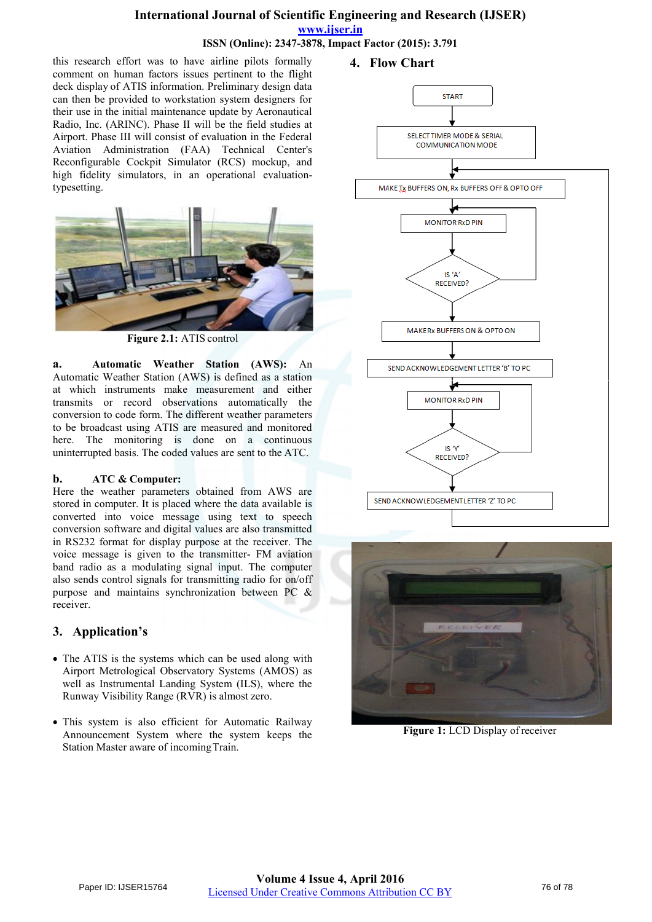# **International Journal of Scientific Engineering and Research (IJSER) www.ijser.in**

**ISSN (Online): 2347-3878, Impact Factor (2015): 3.791** 

**4. Flow Chart** 

this research effort was to have airline pilots formally comment on human factors issues pertinent to the flight deck display of ATIS information. Preliminary design data can then be provided to workstation system designers for their use in the initial maintenance update by Aeronautical Radio, Inc. (ARINC). Phase II will be the field studies at Airport. Phase III will consist of evaluation in the Federal Aviation Administration (FAA) Technical Center's Reconfigurable Cockpit Simulator (RCS) mockup, and high fidelity simulators, in an operational evaluationtypesetting.



**Figure 2.1:** ATIS control

**a. Automatic Weather Station (AWS):** An Automatic Weather Station (AWS) is defined as a station at which instruments make measurement and either transmits or record observations automatically the conversion to code form. The different weather parameters to be broadcast using ATIS are measured and monitored here. The monitoring is done on a continuous uninterrupted basis. The coded values are sent to the ATC.

## **b. ATC & Computer:**

Here the weather parameters obtained from AWS are stored in computer. It is placed where the data available is converted into voice message using text to speech conversion software and digital values are also transmitted in RS232 format for display purpose at the receiver. The voice message is given to the transmitter- FM aviation band radio as a modulating signal input. The computer also sends control signals for transmitting radio for on/off purpose and maintains synchronization between PC & receiver.

## **3. Application's**

- The ATIS is the systems which can be used along with Airport Metrological Observatory Systems (AMOS) as well as Instrumental Landing System (ILS), where the Runway Visibility Range (RVR) is almost zero.
- This system is also efficient for Automatic Railway Announcement System where the system keeps the Station Master aware of incoming Train.





**Figure 1:** LCD Display of receiver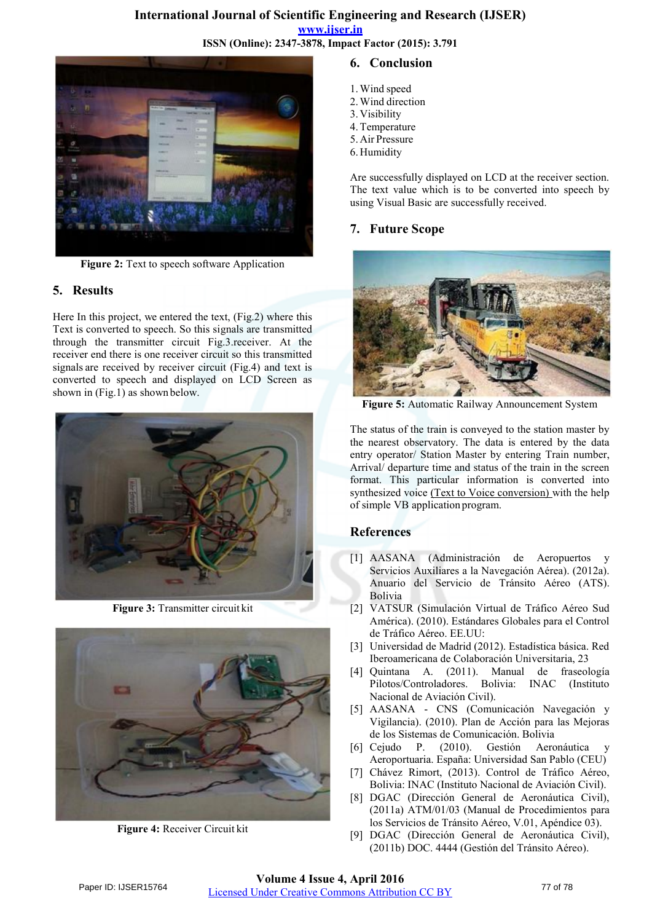# **International Journal of Scientific Engineering and Research (IJSER) www.ijser.in**





**Figure 2:** Text to speech software Application

## **5. Results**

Here In this project, we entered the text, (Fig.2) where this Text is converted to speech. So this signals are transmitted through the transmitter circuit Fig.3.receiver. At the receiver end there is one receiver circuit so this transmitted signals are received by receiver circuit (Fig.4) and text is converted to speech and displayed on LCD Screen as shown in (Fig.1) as shown below.



**Figure 3:** Transmitter circuit kit



**Figure 4:** Receiver Circuit kit

## **6. Conclusion**

- 1.Wind speed
- 2.Wind direction
- 3. Visibility
- 4.Temperature
- 5. Air Pressure
- 6. Humidity

Are successfully displayed on LCD at the receiver section. The text value which is to be converted into speech by using Visual Basic are successfully received.

## **7. Future Scope**



**Figure 5:** Automatic Railway Announcement System

The status of the train is conveyed to the station master by the nearest observatory. The data is entered by the data entry operator/ Station Master by entering Train number, Arrival/ departure time and status of the train in the screen format. This particular information is converted into synthesized voice (Text to Voice conversion) with the help of simple VB application program.

## **References**

- [1] AASANA (Administración de Aeropuertos y Servicios Auxiliares a la Navegación Aérea). (2012a). Anuario del Servicio de Tránsito Aéreo (ATS). Bolivia
- [2] VATSUR (Simulación Virtual de Tráfico Aéreo Sud América). (2010). Estándares Globales para el Control de Tráfico Aéreo. EE.UU:
- [3] Universidad de Madrid (2012). Estadística básica. Red Iberoamericana de Colaboración Universitaria, 23
- [4] Quintana A. (2011). Manual de fraseología Pilotos/Controladores. Bolivia: INAC (Instituto Nacional de Aviación Civil).
- [5] AASANA CNS (Comunicación Navegación y Vigilancia). (2010). Plan de Acción para las Mejoras de los Sistemas de Comunicación. Bolivia
- [6] Cejudo P. (2010). Gestión Aeronáutica y Aeroportuaria. España: Universidad San Pablo (CEU)
- [7] Chávez Rimort, (2013). Control de Tráfico Aéreo, Bolivia: INAC (Instituto Nacional de Aviación Civil).
- [8] DGAC (Dirección General de Aeronáutica Civil), (2011a) ATM/01/03 (Manual de Procedimientos para los Servicios de Tránsito Aéreo, V.01, Apéndice 03).
- [9] DGAC (Dirección General de Aeronáutica Civil), (2011b) DOC. 4444 (Gestión del Tránsito Aéreo).